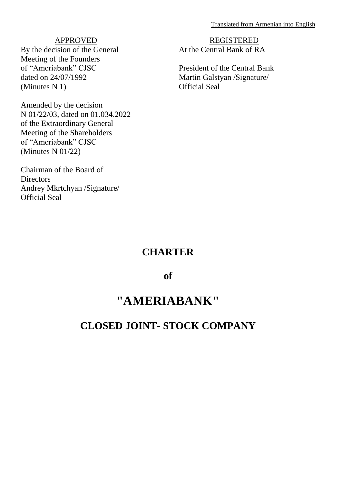Translated from Armenian into English

# APPROVED

By the decision of the General Meeting of the Founders of "Ameriabank" CJSC dated on 24/07/1992 (Minutes N 1)

Amended by the decision N 01/22/03, dated on 01.034.2022 of the Extraordinary General Meeting of the Shareholders of "Ameriabank" CJSC (Minutes N 01/22)

Chairman of the Board of **Directors** Andrey Mkrtchyan /Signature/ Official Seal

REGISTERED At the Central Bank of RA

President of the Central Bank Martin Galstyan /Signature/ Official Seal

# **CHARTER**

# **of**

# **"AMERIABANK"**

# **CLOSED JOINT- STOCK COMPANY**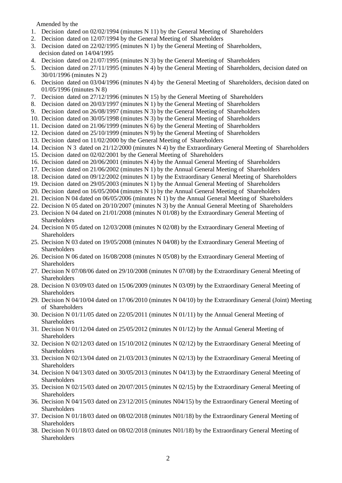Amended by the

- 1. Decision dated on 02/02/1994 (minutes N 11) by the General Meeting of Shareholders
- 2. Decision dated on 12/07/1994 by the General Meeting of Shareholders
- 3. Decision dated on 22/02/1995 (minutes N 1) by the General Meeting of Shareholders, decision dated on 14/04/1995
- 4. Decision dated on 21/07/1995 (minutes N 3) by the General Meeting of Shareholders
- 5. Decision dated on 27/11/1995 (minutes N 4) by the General Meeting of Shareholders, decision dated on 30/01/1996 (minutes N 2)
- 6. Decision dated on 03/04/1996 (minutes N 4) by the General Meeting of Shareholders, decision dated on 01/05/1996 (minutes N 8)
- 7. Decision dated on 27/12/1996 (minutes N 15) by the General Meeting of Shareholders
- 8. Decision dated on 20/03/1997 (minutes N 1) by the General Meeting of Shareholders
- 9. Decision dated on 26/08/1997 (minutes N 3) by the General Meeting of Shareholders
- 10. Decision dated on 30/05/1998 (minutes N 3) by the General Meeting of Shareholders
- 11. Decision dated on 21/06/1999 (minutes N 6) by the General Meeting of Shareholders
- 12. Decision dated on 25/10/1999 (minutes N 9) by the General Meeting of Shareholders
- 13. Decision dated on 11/02/2000 by the General Meeting of Shareholders
- 14. Decision N 3 dated on 21/12/2000 (minutes N 4) by the Extraordinary General Meeting of Shareholders
- 15. Decision dated on 02/02/2001 by the General Meeting of Shareholders
- 16. Decision dated on 20/06/2001 (minutes N 4) by the Annual General Meeting of Shareholders
- 17. Decision dated on 21/06/2002 (minutes N 1) by the Annual General Meeting of Shareholders
- 18. Decision dated on 09/12/2002 (minutes N 1) by the Extraordinary General Meeting of Shareholders
- 19. Decision dated on 29/05/2003 (minutes N 1) by the Annual General Meeting of Shareholders
- 20. Decision dated on 16/05/2004 (minutes N 1) by the Annual General Meeting of Shareholders
- 21. Decision N 04 dated on 06/05/2006 (minutes N 1) by the Annual General Meeting of Shareholders
- 22. Decision N 05 dated on 20/10/2007 (minutes N 3) by the Annual General Meeting of Shareholders
- 23. Decision N 04 dated on 21/01/2008 (minutes N 01/08) by the Extraordinary General Meeting of **Shareholders**
- 24. Decision N 05 dated on 12/03/2008 (minutes N 02/08) by the Extraordinary General Meeting of Shareholders
- 25. Decision N 03 dated on 19/05/2008 (minutes N 04/08) by the Extraordinary General Meeting of **Shareholders**
- 26. Decision N 06 dated on 16/08/2008 (minutes N 05/08) by the Extraordinary General Meeting of Shareholders
- 27. Decision N 07/08/06 dated on 29/10/2008 (minutes N 07/08) by the Extraordinary General Meeting of **Shareholders**
- 28. Decision N 03/09/03 dated on 15/06/2009 (minutes N 03/09) by the Extraordinary General Meeting of **Shareholders**
- 29. Decision N 04/10/04 dated on 17/06/2010 (minutes N 04/10) by the Extraordinary General (Joint) Meeting of Shareholders
- 30. Decision N 01/11/05 dated on 22/05/2011 (minutes N 01/11) by the Annual General Meeting of **Shareholders**
- 31. Decision N 01/12/04 dated on 25/05/2012 (minutes N 01/12) by the Annual General Meeting of **Shareholders**
- 32. Decision N 02/12/03 dated on 15/10/2012 (minutes N 02/12) by the Extraordinary General Meeting of Shareholders
- 33. Decision N 02/13/04 dated on 21/03/2013 (minutes N 02/13) by the Extraordinary General Meeting of **Shareholders**
- 34. Decision N 04/13/03 dated on 30/05/2013 (minutes N 04/13) by the Extraordinary General Meeting of Shareholders
- 35. Decision N 02/15/03 dated on 20/07/2015 (minutes N 02/15) by the Extraordinary General Meeting of Shareholders
- 36. Decision N 04/15/03 dated on 23/12/2015 (minutes N04/15) by the Extraordinary General Meeting of Shareholders
- 37. Decision N 01/18/03 dated on 08/02/2018 (minutes N01/18) by the Extraordinary General Meeting of **Shareholders**
- 38. Decision N 01/18/03 dated on 08/02/2018 (minutes N01/18) by the Extraordinary General Meeting of Shareholders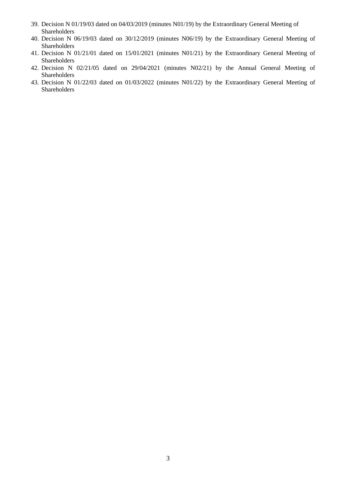- 39. Decision N 01/19/03 dated on 04/03/2019 (minutes N01/19) by the Extraordinary General Meeting of Shareholders
- 40. Decision N 06/19/03 dated on 30/12/2019 (minutes N06/19) by the Extraordinary General Meeting of Shareholders
- 41. Decision N 01/21/01 dated on 15/01/2021 (minutes N01/21) by the Extraordinary General Meeting of Shareholders
- 42. Decision N 02/21/05 dated on 29/04/2021 (minutes N02/21) by the Annual General Meeting of Shareholders
- 43. Decision N 01/22/03 dated on 01/03/2022 (minutes N01/22) by the Extraordinary General Meeting of Shareholders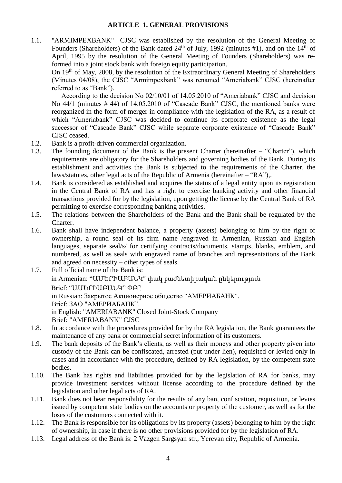1.1. "ARMIMPEXBANK" CJSC was established by the resolution of the General Meeting of Founders (Shareholders) of the Bank dated 24<sup>th</sup> of July, 1992 (minutes #1), and on the  $14<sup>th</sup>$  of April, 1995 by the resolution of the General Meeting of Founders (Shareholders) was reformed into a joint stock bank with foreign equity participation.

On 19th of May, 2008, by the resolution of the Extraordinary General Meeting of Shareholders (Minutes 04/08), the CJSC "Armimpexbank" was renamed "Ameriabank" CJSC (hereinafter referred to as "Bank").

According to the decision No 02/10/01 of 14.05.2010 of "Ameriabank" CJSC and decision No 44/1 (minutes # 44) of 14.05.2010 of "Cascade Bank" CJSC, the mentioned banks were reorganized in the form of merger in compliance with the legislation of the RA, as a result of which "Ameriabank" CJSC was decided to continue its corporate existence as the legal successor of "Cascade Bank" CJSC while separate corporate existence of "Cascade Bank" CJSC ceased.

- 1.2. Bank is a profit-driven commercial organization.
- 1.3. The founding document of the Bank is the present Charter (hereinafter "Charter"), which requirements are obligatory for the Shareholders and governing bodies of the Bank. During its establishment and activities the Bank is subjected to the requirements of the Charter, the laws/statutes, other legal acts of the Republic of Armenia (hereinafter – "RA"),.
- 1.4. Bank is considered as established and acquires the status of a legal entity upon its registration in the Central Bank of RA and has a right to exercise banking activity and other financial transactions provided for by the legislation, upon getting the license by the Central Bank of RA permitting to exercise corresponding banking activities.
- 1.5. The relations between the Shareholders of the Bank and the Bank shall be regulated by the Charter.
- 1.6. Bank shall have independent balance, a property (assets) belonging to him by the right of ownership, a round seal of its firm name /engraved in Armenian, Russian and English languages, separate seal/s/ for certifying contracts/documents, stamps, blanks, emblem, and numbered, as well as seals with engraved name of branches and representations of the Bank and agreed on necessity – other types of seals.

1.7. Full official name of the Bank is: in Armenian: "ԱՄԵՐԻԱԲԱՆԿ" փակ բաժնետիրական ընկերություն Brief: "ԱՄԵՐԻԱԲԱՆԿ" ՓԲԸ in Russian: Закрытое Aкционерное общество "АМЕРИAБАНК". Brief: ЗАО "АМЕРИAБАНК". in English: "AMERIABANK" Closed Joint-Stock Company Brief: "AMERIABANK" CJSC

- 1.8. In accordance with the procedures provided for by the RA legislation, the Bank guarantees the maintenance of any bank or commercial secret information of its customers.
- 1.9. The bank deposits of the Bank's clients, as well as their moneys and other property given into custody of the Bank can be confiscated, arrested (put under lien), requisited or levied only in cases and in accordance with the procedure, defined by RA legislation, by the competent state bodies.
- 1.10. The Bank has rights and liabilities provided for by the legislation of RA for banks, may provide investment services without license according to the procedure defined by the legislation and other legal acts of RA.
- 1.11. Bank does not bear responsibility for the results of any ban, confiscation, requisition, or levies issued by competent state bodies on the accounts or property of the customer, as well as for the loses of the customers connected with it.
- 1.12. The Bank is responsible for its obligations by its property (assets) belonging to him by the right of ownership, in case if there is no other provisions provided for by the legislation of RA.
- 1.13. Legal address of the Bank is: 2 Vazgen Sargsyan str., Yerevan city, Republic of Armenia.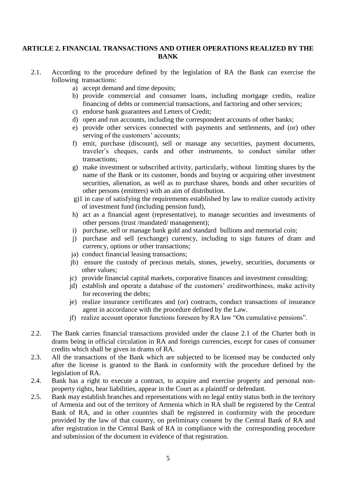### **ARTICLE 2. FINANCIAL TRANSACTIONS AND OTHER OPERATIONS REALIZED BY THE BANK**

- 2.1. According to the procedure defined by the legislation of RA the Bank can exercise the following transactions:
	- a) accept demand and time deposits;
	- b) provide commercial and consumer loans, including mortgage credits, realize financing of debts or commercial transactions, and factoring and other services;
	- c) endorse bank guarantees and Letters of Credit;
	- d) open and run accounts, including the correspondent accounts of other banks;
	- e) provide other services connected with payments and settlements, and (or) other serving of the customers' accounts;
	- f) emit, purchase (discount), sell or manage any securities, payment documents, traveler's cheques, cards and other instruments, to conduct similar other transactions;
	- g) make investment or subscribed activity, particularly, without limiting shares by the name of the Bank or its customer, bonds and buying or acquiring other investment securities, alienation, as well as to purchase shares, bonds and other securities of other persons (emitters) with an aim of distribution.
	- g)1 in case of satisfying the requirements established by law to realize custody activity of investment fund (including pension fund),
	- h) act as a financial agent (representative), to manage securities and investments of other persons (trust /mandated/ management);
	- i) purchase, sell or manage bank gold and standard bullions and memorial coin;
	- j) purchase and sell (exchange) currency, including to sign futures of dram and currency, options or other transactions;
	- ja) conduct financial leasing transactions;
	- jb) ensure the custody of precious metals, stones, jewelry, securities, documents or other values;
	- jc) provide financial capital markets, corporative finances and investment consulting;
	- jd) establish and operate a database of the customers' creditworthiness, make activity for recovering the debts;
	- je) realize insurance certificates and (or) contracts, conduct transactions of insurance agent in accordance with the procedure defined by the Law.
	- jf) realize account operator functions foreseen by RA law "On cumulative pensions".
- 2.2. The Bank carries financial transactions provided under the clause 2.1 of the Charter both in drams being in official circulation in RA and foreign currencies, except for cases of consumer credits which shall be given in drams of RA.
- 2.3. All the transactions of the Bank which are subjected to be licensed may be conducted only after the license is granted to the Bank in conformity with the procedure defined by the legislation of RA.
- 2.4. Bank has a right to execute a contract, to acquire and exercise property and personal nonproperty rights, bear liabilities, appear in the Court as a plaintiff or defendant.
- 2.5. Bank may establish branches and representations with no legal entity status both in the territory of Armenia and out of the territory of Armenia which in RA shall be registered by the Central Bank of RA, and in other countries shall be registered in conformity with the procedure provided by the law of that country, on preliminary consent by the Central Bank of RA and after registration in the Central Bank of RA in compliance with the corresponding procedure and submission of the document in evidence of that registration.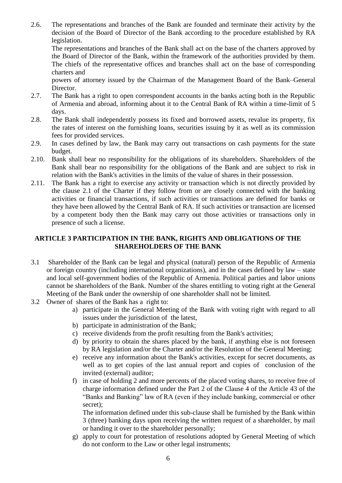2.6. The representations and branches of the Bank are founded and terminate their activity by the decision of the Board of Director of the Bank according to the procedure established by RA legislation.

The representations and branches of the Bank shall act on the base of the charters approved by the Board of Director of the Bank, within the framework of the authorities provided by them. The chiefs of the representative offices and branches shall act on the base of corresponding charters and

powers of attorney issued by the Chairman of the Management Board of the Bank–General Director.

- 2.7. The Bank has a right to open correspondent accounts in the banks acting both in the Republic of Armenia and abroad, informing about it to the Central Bank of RA within a time-limit of 5 days.
- 2.8. The Bank shall independently possess its fixed and borrowed assets, revalue its property, fix the rates of interest on the furnishing loans, securities issuing by it as well as its commission fees for provided services.
- 2.9. In cases defined by law, the Bank may carry out transactions on cash payments for the state budget.
- 2.10. Bank shall bear no responsibility for the obligations of its shareholders. Shareholders of the Bank shall bear no responsibility for the obligations of the Bank and are subject to risk in relation with the Bank's activities in the limits of the value of shares in their possession.
- 2.11. The Bank has a right to exercise any activity or transaction which is not directly provided by the clause 2.1 of the Charter if they follow from or are closely connected with the banking activities or financial transactions, if such activities or transactions are defined for banks or they have been allowed by the Central Bank of RA. If such activities or transaction are licensed by a competent body then the Bank may carry out those activities or transactions only in presence of such a license.

# **ARTICLE 3 PARTICIPATION IN THE BANK, RIGHTS AND OBLIGATIONS OF THE SHAREHOLDERS OF THE BANK**

- 3.1 Shareholder of the Bank can be legal and physical (natural) person of the Republic of Armenia or foreign country (including international organizations), and in the cases defined by law – state and local self-government bodies of the Republic of Armenia. Political parties and labor unions cannot be shareholders of the Bank. Number of the shares entitling to voting right at the General Meeting of the Bank under the ownership of one shareholder shall not be limited.
- 3.2 Owner of shares of the Bank has a right to:
	- a) participate in the General Meeting of the Bank with voting right with regard to all issues under the jurisdiction of the latest,
	- b) participate in administration of the Bank;
	- c) receive dividends from the profit resulting from the Bank's activities;
	- d) by priority to obtain the shares placed by the bank, if anything else is not foreseen by RA legislation and/or the Charter and/or the Resolution of the General Meeting;
	- e) receive any information about the Bank's activities, except for secret documents, as well as to get copies of the last annual report and copies of conclusion of the invited (external) auditor;
	- f) in case of holding 2 and more percents of the placed voting shares, to receive free of charge information defined under the Part 2 of the Clause 4 of the Article 43 of the "Banks and Banking" law of RA (even if they include banking, commercial or other secret);

The information defined under this sub-clause shall be furnished by the Bank within 3 (three) banking days upon receiving the written request of a shareholder, by mail or handing it over to the shareholder personally;

g) apply to court for protestation of resolutions adopted by General Meeting of which do not conform to the Law or other legal instruments;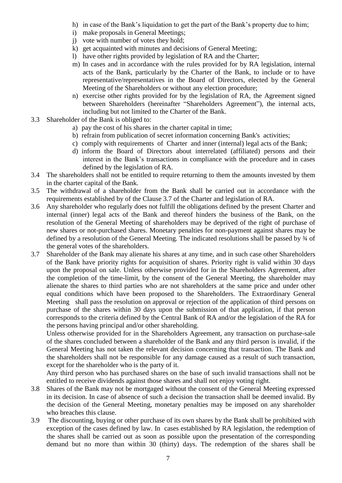- h) in case of the Bank's liquidation to get the part of the Bank's property due to him;
- i) make proposals in General Meetings;
- j) vote with number of votes they hold;
- k) get acquainted with minutes and decisions of General Meeting;
- l) have other rights provided by legislation of RA and the Charter;
- m) In cases and in accordance with the rules provided for by RA legislation, internal acts of the Bank, particularly by the Charter of the Bank, to include or to have representative/representatives in the Board of Directors, elected by the General Meeting of the Shareholders or without any election procedure;
- n) exercise other rights provided for by the legislation of RA, the Agreement signed between Shareholders (hereinafter "Shareholders Agreement"), the internal acts, including but not limited to the Charter of the Bank.
- 3.3 Shareholder of the Bank is obliged to:
	- a) pay the cost of his shares in the charter capital in time;
	- b) refrain from publication of secret information concerning Bank's activities;
	- c) comply with requirements of Charter and inner (internal) legal acts of the Bank;
	- d) inform the Board of Directors about interrelated (affiliated) persons and their interest in the Bank's transactions in compliance with the procedure and in cases defined by the legislation of RA.
- 3.4 The shareholders shall not be entitled to require returning to them the amounts invested by them in the charter capital of the Bank.
- 3.5 The withdrawal of a shareholder from the Bank shall be carried out in accordance with the requirements established by of the Clause 3.7 of the Charter and legislation of RA.
- 3.6 Any shareholder who regularly does not fulfill the obligations defined by the present Charter and internal (inner) legal acts of the Bank and thereof hinders the business of the Bank, on the resolution of the General Meeting of shareholders may be deprived of the right of purchase of new shares or not-purchased shares. Monetary penalties for non-payment against shares may be defined by a resolution of the General Meeting. The indicated resolutions shall be passed by ¾ of the general votes of the shareholders.
- 3.7 Shareholder of the Bank may alienate his shares at any time, and in such case other Shareholders of the Bank have priority rights for acquisition of shares. Priority right is valid within 30 days upon the proposal on sale. Unless otherwise provided for in the Shareholders Agreement, after the completion of the time-limit, by the consent of the General Meeting, the shareholder may alienate the shares to third parties who are not shareholders at the same price and under other equal conditions which have been proposed to the Shareholders. The Extraordinary General Meeting shall pass the resolution on approval or rejection of the application of third persons on purchase of the shares within 30 days upon the submission of that application, if that person corresponds to the criteria defined by the Central Bank of RA and/or the legislation of the RA for the persons having principal and/or other shareholding.

Unless otherwise provided for in the Shareholders Agreement, any transaction on purchase-sale of the shares concluded between a shareholder of the Bank and any third person is invalid, if the General Meeting has not taken the relevant decision concerning that transaction. The Bank and the shareholders shall not be responsible for any damage caused as a result of such transaction, except for the shareholder who is the party of it.

Any third person who has purchased shares on the base of such invalid transactions shall not be entitled to receive dividends against those shares and shall not enjoy voting right.

- 3.8 Shares of the Bank may not be mortgaged without the consent of the General Meeting expressed in its decision. In case of absence of such a decision the transaction shall be deemed invalid. By the decision of the General Meeting, monetary penalties may be imposed on any shareholder who breaches this clause.
- 3.9 The discounting, buying or other purchase of its own shares by the Bank shall be prohibited with exception of the cases defined by law. In cases established by RA legislation, the redemption of the shares shall be carried out as soon as possible upon the presentation of the corresponding demand but no more than within 30 (thirty) days. The redemption of the shares shall be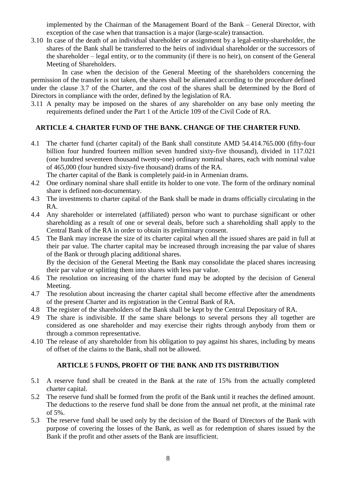implemented by the Chairman of the Management Board of the Bank – General Director, with exception of the case when that transaction is a major (large-scale) transaction.

3.10 In case of the death of an individual shareholder or assignment by a legal-entity-shareholder, the shares of the Bank shall be transferred to the heirs of individual shareholder or the successors of the shareholder – legal entity, or to the community (if there is no heir), on consent of the General Meeting of Shareholders.

In case when the decision of the General Meeting of the shareholders concerning the permission of the transfer is not taken, the shares shall be alienated according to the procedure defined under the clause 3.7 of the Charter, and the cost of the shares shall be determined by the Bord of Directors in compliance with the order, defined by the legislation of RA.

3.11 A penalty may be imposed on the shares of any shareholder on any base only meeting the requirements defined under the Part 1 of the Article 109 of the Civil Code of RA.

# **ARTICLE 4. CHARTER FUND OF THE BANK. CHANGE OF THE CHARTER FUND.**

4.1 The charter fund (charter capital) of the Bank shall constitute AMD 54.414.765.000 (fifty-four billion four hundred fourteen million seven hundred sixty-five thousand), divided in 117.021 (one hundred seventeen thousand twenty-one) ordinary nominal shares, each with nominal value of 465,000 (four hundred sixty-five thousand) drams of the RA.

The charter capital of the Bank is completely paid-in in Armenian drams.

- 4.2 One ordinary nominal share shall entitle its holder to one vote. The form of the ordinary nominal share is defined non-documentary.
- 4.3 The investments to charter capital of the Bank shall be made in drams officially circulating in the RA.
- 4.4 Any shareholder or interrelated (affiliated) person who want to purchase significant or other shareholding as a result of one or several deals, before such a shareholding shall apply to the Central Bank of the RA in order to obtain its preliminary consent.
- 4.5 The Bank may increase the size of its charter capital when all the issued shares are paid in full at their par value. The charter capital may be increased through increasing the par value of shares of the Bank or through placing additional shares.

By the decision of the General Meeting the Bank may consolidate the placed shares increasing their par value or splitting them into shares with less par value.

- 4.6 The resolution on increasing of the charter fund may be adopted by the decision of General Meeting.
- 4.7 The resolution about increasing the charter capital shall become effective after the amendments of the present Charter and its registration in the Central Bank of RA.
- 4.8 The register of the shareholders of the Bank shall be kept by the Central Depositary of RA.
- 4.9 The share is indivisible. If the same share belongs to several persons they all together are considered as one shareholder and may exercise their rights through anybody from them or through a common representative.
- 4.10 The release of any shareholder from his obligation to pay against his shares, including by means of offset of the claims to the Bank, shall not be allowed.

## **ARTICLE 5 FUNDS, PROFIT OF THE BANK AND ITS DISTRIBUTION**

- 5.1 A reserve fund shall be created in the Bank at the rate of 15% from the actually completed charter capital.
- 5.2 The reserve fund shall be formed from the profit of the Bank until it reaches the defined amount. The deductions to the reserve fund shall be done from the annual net profit, at the minimal rate of 5%.
- 5.3 The reserve fund shall be used only by the decision of the Board of Directors of the Bank with purpose of covering the losses of the Bank, as well as for redemption of shares issued by the Bank if the profit and other assets of the Bank are insufficient.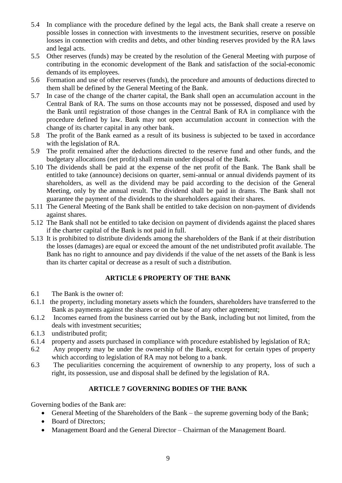- 5.4 In compliance with the procedure defined by the legal acts, the Bank shall create a reserve on possible losses in connection with investments to the investment securities, reserve on possible losses in connection with credits and debts, and other binding reserves provided by the RA laws and legal acts.
- 5.5 Other reserves (funds) may be created by the resolution of the General Meeting with purpose of contributing in the economic development of the Bank and satisfaction of the social-economic demands of its employees.
- 5.6 Formation and use of other reserves (funds), the procedure and amounts of deductions directed to them shall be defined by the General Meeting of the Bank.
- 5.7 In case of the change of the charter capital, the Bank shall open an accumulation account in the Central Bank of RA. The sums on those accounts may not be possessed, disposed and used by the Bank until registration of those changes in the Central Bank of RA in compliance with the procedure defined by law. Bank may not open accumulation account in connection with the change of its charter capital in any other bank.
- 5.8 The profit of the Bank earned as a result of its business is subjected to be taxed in accordance with the legislation of RA.
- 5.9 The profit remained after the deductions directed to the reserve fund and other funds, and the budgetary allocations (net profit) shall remain under disposal of the Bank.
- 5.10 The dividends shall be paid at the expense of the net profit of the Bank. The Bank shall be entitled to take (announce) decisions on quarter, semi-annual or annual dividends payment of its shareholders, as well as the dividend may be paid according to the decision of the General Meeting, only by the annual result. The dividend shall be paid in drams. The Bank shall not guarantee the payment of the dividends to the shareholders against their shares.
- 5.11 The General Meeting of the Bank shall be entitled to take decision on non-payment of dividends against shares.
- 5.12 The Bank shall not be entitled to take decision on payment of dividends against the placed shares if the charter capital of the Bank is not paid in full.
- 5.13 It is prohibited to distribute dividends among the shareholders of the Bank if at their distribution the losses (damages) are equal or exceed the amount of the net undistributed profit available. The Bank has no right to announce and pay dividends if the value of the net assets of the Bank is less than its charter capital or decrease as a result of such a distribution.

# **ARTICLE 6 PROPERTY OF THE BANK**

- 6.1 The Bank is the owner of:
- 6.1.1 the property, including monetary assets which the founders, shareholders have transferred to the Bank as payments against the shares or on the base of any other agreement;
- 6.1.2 Incomes earned from the business carried out by the Bank, including but not limited, from the deals with investment securities;
- 6.1.3 undistributed profit;
- 6.1.4 property and assets purchased in compliance with procedure established by legislation of RA;
- 6.2 Any property may be under the ownership of the Bank, except for certain types of property which according to legislation of RA may not belong to a bank.
- 6.3 The peculiarities concerning the acquirement of ownership to any property, loss of such a right, its possession, use and disposal shall be defined by the legislation of RA.

# **ARTICLE 7 GOVERNING BODIES OF THE BANK**

Governing bodies of the Bank are:

- General Meeting of the Shareholders of the Bank the supreme governing body of the Bank;
- Board of Directors;
- Management Board and the General Director Chairman of the Management Board.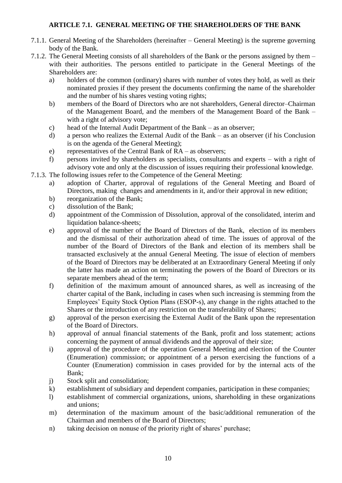# **ARTICLE 7.1. GENERAL MEETING OF THE SHAREHOLDERS OF THE BANK**

- 7.1.1. General Meeting of the Shareholders (hereinafter General Meeting) is the supreme governing body of the Bank.
- 7.1.2. The General Meeting consists of all shareholders of the Bank or the persons assigned by them with their authorities. The persons entitled to participate in the General Meetings of the Shareholders are:
	- a) holders of the common (ordinary) shares with number of votes they hold, as well as their nominated proxies if they present the documents confirming the name of the shareholder and the number of his shares vesting voting rights;
	- b) members of the Board of Directors who are not shareholders, General director–Chairman of the Management Board, and the members of the Management Board of the Bank – with a right of advisory vote;
	- c) head of the Internal Audit Department of the Bank as an observer;
	- d) a person who realizes the External Audit of the Bank as an observer (if his Conclusion is on the agenda of the General Meeting);
	- e) representatives of the Central Bank of RA as observers;
	- f) persons invited by shareholders as specialists, consultants and experts with a right of advisory vote and only at the discussion of issues requiring their professional knowledge.
- 7.1.3. The following issues refer to the Competence of the General Meeting:
	- a) adoption of Charter, approval of regulations of the General Meeting and Board of Directors, making changes and amendments in it, and/or their approval in new edition;
	- b) reorganization of the Bank;
	- c) dissolution of the Bank;
	- d) appointment of the Commission of Dissolution, approval of the consolidated, interim and liquidation balance-sheets;
	- e) approval of the number of the Board of Directors of the Bank, election of its members and the dismissal of their authorization ahead of time. The issues of approval of the number of the Board of Directors of the Bank and election of its members shall be transacted exclusively at the annual General Meeting. The issue of election of members of the Board of Directors may be deliberated at an Extraordinary General Meeting if only the latter has made an action on terminating the powers of the Board of Directors or its separate members ahead of the term;
	- f) definition of the maximum amount of announced shares, as well as increasing of the charter capital of the Bank, including in cases when such increasing is stemming from the Employees' Equity Stock Option Plans (ESOP-s), any change in the rights attached to the Shares or the introduction of any restriction on the transferability of Shares;
	- g) approval of the person exercising the External Audit of the Bank upon the representation of the Board of Directors.
	- h) approval of annual financial statements of the Bank, profit and loss statement; actions concerning the payment of annual dividends and the approval of their size;
	- i) approval of the procedure of the operation General Meeting and election of the Counter (Enumeration) commission; or appointment of a person exercising the functions of a Counter (Enumeration) commission in cases provided for by the internal acts of the Bank;
	- j) Stock split and consolidation;
	- k) establishment of subsidiary and dependent companies, participation in these companies;
	- l) establishment of commercial organizations, unions, shareholding in these organizations and unions;
	- m) determination of the maximum amount of the basic/additional remuneration of the Chairman and members of the Board of Directors;
	- n) taking decision on nonuse of the priority right of shares' purchase;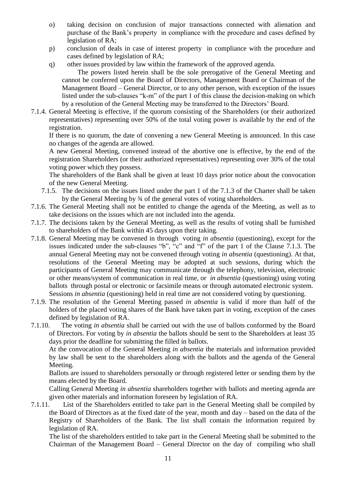- o) taking decision on conclusion of major transactions connected with alienation and purchase of the Bank's property in compliance with the procedure and cases defined by legislation of RA;
- p) conclusion of deals in case of interest property in compliance with the procedure and cases defined by legislation of RA;
- q) other issues provided by law within the framework of the approved agenda.

The powers listed herein shall be the sole prerogative of the General Meeting and cannot be conferred upon the Board of Directors, Management Board or Chairman of the Management Board – General Director, or to any other person, with exception of the issues listed under the sub-clauses "k-m" of the part 1 of this clause the decision-making on which by a resolution of the General Meeting may be transferred to the Directors' Board.

7.1.4. General Meeting is effective, if the quorum consisting of the Shareholders (or their authorized representatives) representing over 50% of the total voting power is available by the end of the registration.

If there is no quorum, the date of convening a new General Meeting is announced. In this case no changes of the agenda are allowed.

A new General Meeting, convened instead of the abortive one is effective, by the end of the registration Shareholders (or their authorized representatives) representing over 30% of the total voting power which they possess.

The shareholders of the Bank shall be given at least 10 days prior notice about the convocation of the new General Meeting.

- 7.1.5. The decisions on the issues listed under the part 1 of the 7.1.3 of the Charter shall be taken by the General Meeting by ¾ of the general votes of voting shareholders.
- 7.1.6. The General Meeting shall not be entitled to change the agenda of the Meeting, as well as to take decisions on the issues which are not included into the agenda.
- 7.1.7. The decisions taken by the General Meeting, as well as the results of voting shall be furnished to shareholders of the Bank within 45 days upon their taking.
- 7.1.8. General Meeting may be convened in through voting *in absentia* (questioning), except for the issues indicated under the sub-clauses "b", "c" and "f" of the part 1 of the Clause 7.1.3. The annual General Meeting may not be convened through voting *in absentia* (questioning). At that, resolutions of the General Meeting may be adopted at such sessions, during which the participants of General Meeting may communicate through the telephony, television, electronic or other means/system of communication in real time, or *in absentia* (questioning) using voting ballots through postal or electronic or facsimile means or through automated electronic system. Sessions *in absentia* (questioning) held in real time are not considered voting by questioning.
- 7.1.9. The resolution of the General Meeting passed *in absentia* is valid if more than half of the holders of the placed voting shares of the Bank have taken part in voting, exception of the cases defined by legislation of RA.
- 7.1.10. The voting *in absentia* shall be carried out with the use of ballots conformed by the Board of Directors. For voting by *in absentia* the ballots should be sent to the Shareholders at least 35 days prior the deadline for submitting the filled in ballots.

At the convocation of the General Meeting *in absentia* the materials and information provided by law shall be sent to the shareholders along with the ballots and the agenda of the General Meeting.

Ballots are issued to shareholders personally or through registered letter or sending them by the means elected by the Board.

Calling General Meeting *in absentia* shareholders together with ballots and meeting agenda are given other materials and information foreseen by legislation of RA.

7.1.11. List of the Shareholders entitled to take part in the General Meeting shall be compiled by the Board of Directors as at the fixed date of the year, month and day – based on the data of the Registry of Shareholders of the Bank. The list shall contain the information required by legislation of RA.

The list of the shareholders entitled to take part in the General Meeting shall be submitted to the Chairman of the Management Board – General Director on the day of compiling who shall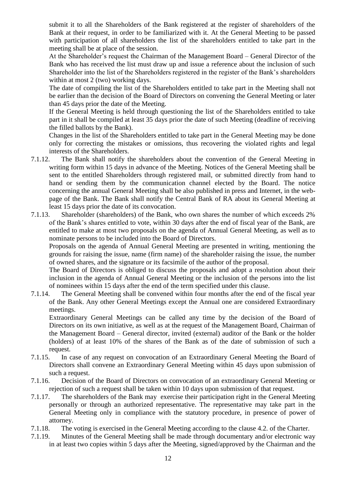submit it to all the Shareholders of the Bank registered at the register of shareholders of the Bank at their request, in order to be familiarized with it. At the General Meeting to be passed with participation of all shareholders the list of the shareholders entitled to take part in the meeting shall be at place of the session.

At the Shareholder's request the Chairman of the Management Board – General Director of the Bank who has received the list must draw up and issue a reference about the inclusion of such Shareholder into the list of the Shareholders registered in the register of the Bank's shareholders within at most 2 (two) working days.

The date of compiling the list of the Shareholders entitled to take part in the Meeting shall not be earlier than the decision of the Board of Directors on convening the General Meeting or later than 45 days prior the date of the Meeting.

If the General Meeting is held through questioning the list of the Shareholders entitled to take part in it shall be compiled at least 35 days prior the date of such Meeting (deadline of receiving the filled ballots by the Bank).

Changes in the list of the Shareholders entitled to take part in the General Meeting may be done only for correcting the mistakes or omissions, thus recovering the violated rights and legal interests of the Shareholders.

- 7.1.12. The Bank shall notify the shareholders about the convention of the General Meeting in writing form within 15 days in advance of the Meeting. Notices of the General Meeting shall be sent to the entitled Shareholders through registered mail, or submitted directly from hand to hand or sending them by the communication channel elected by the Board. The notice concerning the annual General Meeting shall be also published in press and Internet, in the webpage of the Bank. The Bank shall notify the Central Bank of RA about its General Meeting at least 15 days prior the date of its convocation.
- 7.1.13. Shareholder (shareholders) of the Bank, who own shares the number of which exceeds 2% of the Bank's shares entitled to vote, within 30 days after the end of fiscal year of the Bank, are entitled to make at most two proposals on the agenda of Annual General Meeting, as well as to nominate persons to be included into the Board of Directors.

Proposals on the agenda of Annual General Meeting are presented in writing, mentioning the grounds for raising the issue, name (firm name) of the shareholder raising the issue, the number of owned shares, and the signature or its facsimile of the author of the proposal.

The Board of Directors is obliged to discuss the proposals and adopt a resolution about their inclusion in the agenda of Annual General Meeting or the inclusion of the persons into the list of nominees within 15 days after the end of the term specified under this clause.

7.1.14. The General Meeting shall be convened within four months after the end of the fiscal year of the Bank. Any other General Meetings except the Annual one are considered Extraordinary meetings.

Extraordinary General Meetings can be called any time by the decision of the Board of Directors on its own initiative, as well as at the request of the Management Board, Chairman of the Management Board – General director, invited (external) auditor of the Bank or the holder (holders) of at least 10% of the shares of the Bank as of the date of submission of such a request.

- 7.1.15. In case of any request on convocation of an Extraordinary General Meeting the Board of Directors shall convene an Extraordinary General Meeting within 45 days upon submission of such a request.
- 7.1.16. Decision of the Board of Directors on convocation of an extraordinary General Meeting or rejection of such a request shall be taken within 10 days upon submission of that request.
- 7.1.17. The shareholders of the Bank may exercise their participation right in the General Meeting personally or through an authorized representative. The representative may take part in the General Meeting only in compliance with the statutory procedure, in presence of power of attorney.
- 7.1.18. The voting is exercised in the General Meeting according to the clause 4.2. of the Charter.
- 7.1.19. Minutes of the General Meeting shall be made through documentary and/or electronic way in at least two copies within 5 days after the Meeting, signed/approved by the Chairman and the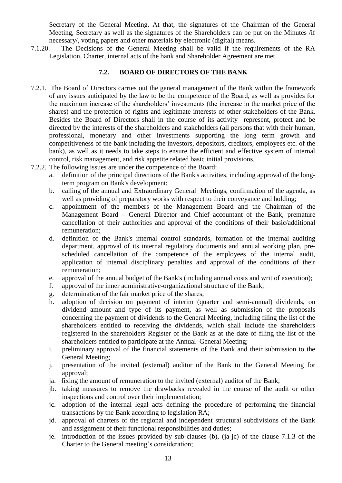Secretary of the General Meeting. At that, the signatures of the Chairman of the General Meeting, Secretary as well as the signatures of the Shareholders can be put on the Minutes /if necessary/, voting papers and other materials by electronic (digital) means.

7.1.20. The Decisions of the General Meeting shall be valid if the requirements of the RA Legislation, Charter, internal acts of the bank and Shareholder Agreement are met.

### **7.2. BOARD OF DIRECTORS OF THE BANK**

- 7.2.1. The Board of Directors carries out the general management of the Bank within the framework of any issues anticipated by the law to be the competence of the Board, as well as provides for the maximum increase of the shareholders' investments (the increase in the market price of the shares) and the protection of rights and legitimate interests of other stakeholders of the Bank. Besides the Board of Directors shall in the course of its activity represent, protect and be directed by the interests of the shareholders and stakeholders (all persons that with their human, professional, monetary and other investments supporting the long term growth and competitiveness of the bank including the investors, depositors, creditors, employees etc. of the bank), as well as it needs to take steps to ensure the efficient and effective system of internal control, risk management, and risk appetite related basic initial provisions.
- 7.2.2. The following issues are under the competence of the Board:
	- a. definition of the principal directions of the Bank's activities, including approval of the longterm program on Bank's development;
	- b. calling of the annual and Extraordinary General Meetings, confirmation of the agenda, as well as providing of preparatory works with respect to their conveyance and holding;
	- c. appointment of the members of the Management Board and the Chairman of the Management Board – General Director and Chief accountant of the Bank, premature cancellation of their authorities and approval of the conditions of their basic/additional remuneration;
	- d. definition of the Bank's internal control standards, formation of the internal auditing department, approval of its internal regulatory documents and annual working plan, prescheduled cancellation of the competence of the employees of the internal audit, application of internal disciplinary penalties and approval of the conditions of their remuneration;
	- e. approval of the annual budget of the Bank's (including annual costs and writ of execution);
	- f. approval of the inner administrative-organizational structure of the Bank;
	- g. determination of the fair market price of the shares;
	- h. adoption of decision on payment of interim (quarter and semi-annual) dividends, on dividend amount and type of its payment, as well as submission of the proposals concerning the payment of dividends to the General Meeting, including filing the list of the shareholders entitled to receiving the dividends, which shall include the shareholders registered in the shareholders Register of the Bank as at the date of filing the list of the shareholders entitled to participate at the Annual General Meeting;
	- i. preliminary approval of the financial statements of the Bank and their submission to the General Meeting;
	- j. presentation of the invited (external) auditor of the Bank to the General Meeting for approval;
	- ja. fixing the amount of remuneration to the invited (external) auditor of the Bank;
	- jb. taking measures to remove the drawbacks revealed in the course of the audit or other inspections and control over their implementation;
	- jc. adoption of the internal legal acts defining the procedure of performing the financial transactions by the Bank according to legislation RA;
	- jd. approval of charters of the regional and independent structural subdivisions of the Bank and assignment of their functional responsibilities and duties;
	- je. introduction of the issues provided by sub-clauses (b), (ja-jc) of the clause 7.1.3 of the Charter to the General meeting's consideration;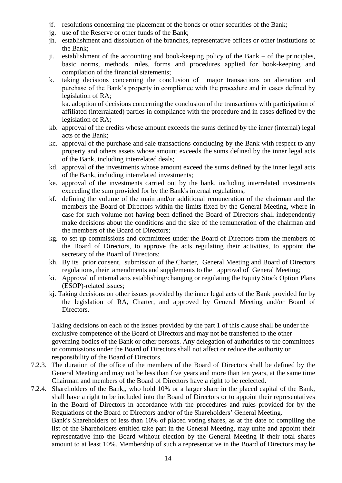- jf. resolutions concerning the placement of the bonds or other securities of the Bank;
- jg. use of the Reserve or other funds of the Bank;
- jh. establishment and dissolution of the branches, representative offices or other institutions of the Bank;
- ji. establishment of the accounting and book-keeping policy of the Bank of the principles, basic norms, methods, rules, forms and procedures applied for book-keeping and compilation of the financial statements;
- k. taking decisions concerning the conclusion of major transactions on alienation and purchase of the Bank's property in compliance with the procedure and in cases defined by legislation of RA;

ka. adoption of decisions concerning the conclusion of the transactions with participation of affiliated (interralated) parties in compliance with the procedure and in cases defined by the legislation of RA;

- kb. approval of the credits whose amount exceeds the sums defined by the inner (internal) legal acts of the Bank;
- kc. approval of the purchase and sale transactions concluding by the Bank with respect to any property and others assets whose amount exceeds the sums defined by the inner legal acts of the Bank, including interrelated deals;
- kd. approval of the investments whose amount exceed the sums defined by the inner legal acts of the Bank, including interrelated investments;
- ke. approval of the investments carried out by the bank, including interrelated investments exceeding the sum provided for by the Bank's internal regulations,
- kf. defining the volume of the main and/or additional remuneration of the chairman and the members the Board of Directors within the limits fixed by the General Meeting, where in case for such volume not having been defined the Board of Directors shall independently make decisions about the conditions and the size of the remuneration of the chairman and the members of the Board of Directors;
- kg. to set up commissions and committees under the Board of Directors from the members of the Board of Directors, to approve the acts regulating their activities, to appoint the secretary of the Board of Directors;
- kh. By its prior consent, submission of the Charter, General Meeting and Board of Directors regulations, their amendments and supplements to the approval of General Meeting;
- ki. Approval of internal acts establishing/changing or regulating the Equity Stock Option Plans (ESOP)-related issues;
- kj. Taking decisions on other issues provided by the inner legal acts of the Bank provided for by the legislation of RA, Charter, and approved by General Meeting and/or Board of Directors.

Taking decisions on each of the issues provided by the part 1 of this clause shall be under the exclusive competence of the Board of Directors and may not be transferred to the other governing bodies of the Bank or other persons. Any delegation of authorities to the committees or commissions under the Board of Directors shall not affect or reduce the authority or responsibility of the Board of Directors.

- 7.2.3. The duration of the office of the members of the Board of Directors shall be defined by the General Meeting and may not be less than five years and more than ten years, at the same time Chairman and members of the Board of Directors have a right to be reelected.
- 7.2.4. Shareholders of the Bank,, who hold 10% or a larger share in the placed capital of the Bank, shall have a right to be included into the Board of Directors or to appoint their representatives in the Board of Directors in accordance with the procedures and rules provided for by the Regulations of the Board of Directors and/or of the Shareholders' General Meeting.

Bank's Shareholders of less than 10% of placed voting shares, as at the date of compiling the list of the Shareholders entitled take part in the General Meeting, may unite and appoint their representative into the Board without election by the General Meeting if their total shares amount to at least 10%. Membership of such a representative in the Board of Directors may be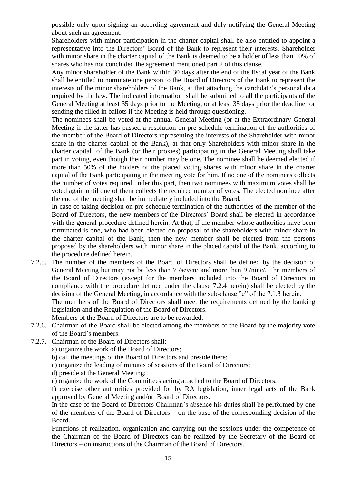possible only upon signing an according agreement and duly notifying the General Meeting about such an agreement.

Shareholders with minor participation in the charter capital shall be also entitled to appoint a representative into the Directors' Board of the Bank to represent their interests. Shareholder with minor share in the charter capital of the Bank is deemed to be a holder of less than 10% of shares who has not concluded the agreement mentioned part 2 of this clause.

Any minor shareholder of the Bank within 30 days after the end of the fiscal year of the Bank shall be entitled to nominate one person to the Board of Directors of the Bank to represent the interests of the minor shareholders of the Bank, at that attaching the candidate's personal data required by the law. The indicated information shall be submitted to all the participants of the General Meeting at least 35 days prior to the Meeting, or at least 35 days prior the deadline for sending the filled in ballots if the Meeting is held through questioning.

The nominees shall be voted at the annual General Meeting (or at the Extraordinary General Meeting if the latter has passed a resolution on pre-schedule termination of the authorities of the member of the Board of Directors representing the interests of the Shareholder with minor share in the charter capital of the Bank), at that only Shareholders with minor share in the charter capital of the Bank (or their proxies) participating in the General Meeting shall take part in voting, even though their number may be one. The nominee shall be deemed elected if more than 50% of the holders of the placed voting shares with minor share in the charter capital of the Bank participating in the meeting vote for him. If no one of the nominees collects the number of votes required under this part, then two nominees with maximum votes shall be voted again until one of them collects the required number of votes. The elected nominee after the end of the meeting shall be immediately included into the Board.

In case of taking decision on pre-schedule termination of the authorities of the member of the Board of Directors, the new members of the Directors' Board shall be elected in accordance with the general procedure defined herein. At that, if the member whose authorities have been terminated is one, who had been elected on proposal of the shareholders with minor share in the charter capital of the Bank, then the new member shall be elected from the persons proposed by the shareholders with minor share in the placed capital of the Bank, according to the procedure defined herein.

7.2.5. The number of the members of the Board of Directors shall be defined by the decision of General Meeting but may not be less than 7 /seven/ and more than 9 /nine/. The members of the Board of Directors (except for the members included into the Board of Directors in compliance with the procedure defined under the clause 7.2.4 herein) shall be elected by the decision of the General Meeting, in accordance with the sub-clause "e" of the 7.1.3 herein.

The members of the Board of Directors shall meet the requirements defined by the banking legislation and the Regulation of the Board of Directors.

Members of the Board of Directors are to be rewarded.

- 7.2.6. Chairman of the Board shall be elected among the members of the Board by the majority vote of the Board's members.
- 7.2.7. Chairman of the Board of Directors shall:

a) organize the work of the Board of Directors;

- b) call the meetings of the Board of Directors and preside there;
- c) organize the leading of minutes of sessions of the Board of Directors;
- d) preside at the General Meeting;

e) organize the work of the Committees acting attached to the Board of Directors;

f) exercise other authorities provided for by RA legislation, inner legal acts of the Bank approved by General Meeting and/or Board of Directors.

In the case of the Board of Directors Chairman's absence his duties shall be performed by one of the members of the Board of Directors – on the base of the corresponding decision of the Board.

Functions of realization, organization and carrying out the sessions under the competence of the Chairman of the Board of Directors can be realized by the Secretary of the Board of Directors – on instructions of the Chairman of the Board of Directors.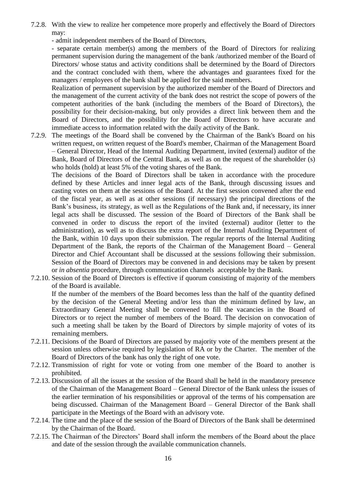7.2.8. With the view to realize her competence more properly and effectively the Board of Directors may:

- admit independent members of the Board of Directors,

- separate certain member(s) among the members of the Board of Directors for realizing permanent supervision during the management of the bank /authorized member of the Board of Directors/ whose status and activity conditions shall be determined by the Board of Directors and the contract concluded with them, where the advantages and guarantees fixed for the managers / employees of the bank shall be applied for the said members.

Realization of permanent supervision by the authorized member of the Board of Directors and the management of the current activity of the bank does not restrict the scope of powers of the competent authorities of the bank (including the members of the Board of Directors), the possibility for their decision-making, but only provides a direct link between them and the Board of Directors, and the possibility for the Board of Directors to have accurate and immediate access to information related with the daily activity of the Bank.

7.2.9. The meetings of the Board shall be convened by the Chairman of the Bank's Board on his written request, on written request of the Board's member, Chairman of the Management Board – General Director, Head of the Internal Auditing Department, invited (external) auditor of the Bank, Board of Directors of the Central Bank, as well as on the request of the shareholder (s) who holds (hold) at least 5% of the voting shares of the Bank.

The decisions of the Board of Directors shall be taken in accordance with the procedure defined by these Articles and inner legal acts of the Bank, through discussing issues and casting votes on them at the sessions of the Board. At the first session convened after the end of the fiscal year, as well as at other sessions (if necessary) the principal directions of the Bank's business, its strategy, as well as the Regulations of the Bank and, if necessary, its inner legal acts shall be discussed. The session of the Board of Directors of the Bank shall be convened in order to discuss the report of the invited (external) auditor (letter to the administration), as well as to discuss the extra report of the Internal Auditing Department of the Bank, within 10 days upon their submission. The regular reports of the Internal Auditing Department of the Bank, the reports of the Chairman of the Management Board – General Director and Chief Accountant shall be discussed at the sessions following their submission. Session of the Board of Directors may be convened in and decisions may be taken by present or *in absentia* procedure, through communication channels acceptable by the Bank.

7.2.10. Session of the Board of Directors is effective if quorum consisting of majority of the members of the Board is available.

If the number of the members of the Board becomes less than the half of the quantity defined by the decision of the General Meeting and/or less than the minimum defined by law, an Extraordinary General Meeting shall be convened to fill the vacancies in the Board of Directors or to reject the number of members of the Board. The decision on convocation of such a meeting shall be taken by the Board of Directors by simple majority of votes of its remaining members.

- 7.2.11. Decisions of the Board of Directors are passed by majority vote of the members present at the session unless otherwise required by legislation of RA or by the Charter. The member of the Board of Directors of the bank has only the right of one vote.
- 7.2.12. Transmission of right for vote or voting from one member of the Board to another is prohibited.
- 7.2.13. Discussion of all the issues at the session of the Board shall be held in the mandatory presence of the Chairman of the Management Board – General Director of the Bank unless the issues of the earlier termination of his responsibilities or approval of the terms of his compensation are being discussed. Chairman of the Management Board – General Director of the Bank shall participate in the Meetings of the Board with an advisory vote.
- 7.2.14. The time and the place of the session of the Board of Directors of the Bank shall be determined by the Chairman of the Board.
- 7.2.15. The Chairman of the Directors' Board shall inform the members of the Board about the place and date of the session through the available communication channels.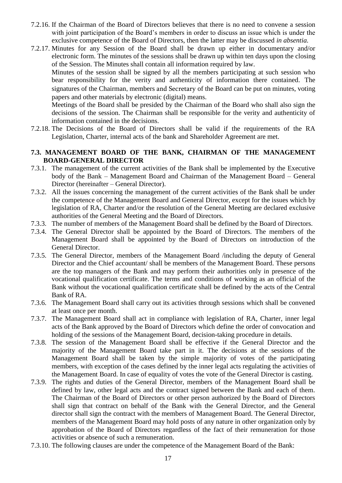- 7.2.16. If the Chairman of the Board of Directors believes that there is no need to convene a session with joint participation of the Board's members in order to discuss an issue which is under the exclusive competence of the Board of Directors, then the latter may be discussed *in absentia.*
- 7.2.17. Minutes for any Session of the Board shall be drawn up either in documentary and/or electronic form. The minutes of the sessions shall be drawn up within ten days upon the closing of the Session. The Minutes shall contain all information required by law.

Minutes of the session shall be signed by all the members participating at such session who bear responsibility for the verity and authenticity of information there contained. The signatures of the Chairman, members and Secretary of the Board can be put on minutes, voting papers and other materials by electronic (digital) means.

Meetings of the Board shall be presided by the Chairman of the Board who shall also sign the decisions of the session. The Chairman shall be responsible for the verity and authenticity of information contained in the decisions.

7.2.18. The Decisions of the Board of Directors shall be valid if the requirements of the RA Legislation, Charter, internal acts of the bank and Shareholder Agreement are met.

#### **7.3. MANAGEMENT BOARD OF THE BANK, CHAIRMAN OF THE MANAGEMENT BOARD-GENERAL DIRECTOR**

- 7.3.1. The management of the current activities of the Bank shall be implemented by the Executive body of the Bank – Management Board and Chairman of the Management Board – General Director (hereinafter – General Director).
- 7.3.2. All the issues concerning the management of the current activities of the Bank shall be under the competence of the Management Board and General Director, except for the issues which by legislation of RA, Charter and/or the resolution of the General Meeting are declared exclusive authorities of the General Meeting and the Board of Directors.
- 7.3.3. The number of members of the Management Board shall be defined by the Board of Directors.
- 7.3.4. The General Director shall be appointed by the Board of Directors. The members of the Management Board shall be appointed by the Board of Directors on introduction of the General Director.
- 7.3.5. The General Director, members of the Management Board /including the deputy of General Director and the Chief accountant/ shall be members of the Management Board. These persons are the top managers of the Bank and may perform their authorities only in presence of the vocational qualification certificate. The terms and conditions of working as an official of the Bank without the vocational qualification certificate shall be defined by the acts of the Central Bank of RA.
- 7.3.6. The Management Board shall carry out its activities through sessions which shall be convened at least once per month.
- 7.3.7. The Management Board shall act in compliance with legislation of RA, Charter, inner legal acts of the Bank approved by the Board of Directors which define the order of convocation and holding of the sessions of the Management Board, decision-taking procedure in details.
- 7.3.8. The session of the Management Board shall be effective if the General Director and the majority of the Management Board take part in it. The decisions at the sessions of the Management Board shall be taken by the simple majority of votes of the participating members, with exception of the cases defined by the inner legal acts regulating the activities of the Management Board. In case of equality of votes the vote of the General Director is casting.
- 7.3.9. The rights and duties of the General Director, members of the Management Board shall be defined by law, other legal acts and the contract signed between the Bank and each of them. The Chairman of the Board of Directors or other person authorized by the Board of Directors shall sign that contract on behalf of the Bank with the General Director, and the General director shall sign the contract with the members of Management Board. The General Director, members of the Management Board may hold posts of any nature in other organization only by approbation of the Board of Directors regardless of the fact of their remuneration for those activities or absence of such a remuneration.
- 7.3.10. The following clauses are under the competence of the Management Board of the Bank: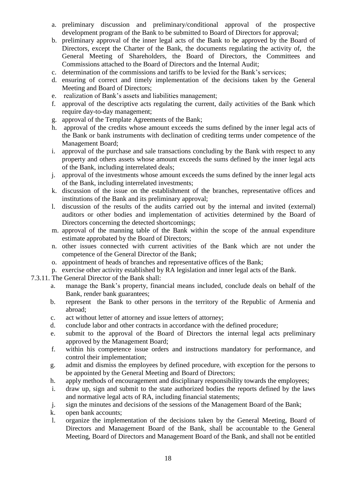- a. preliminary discussion and preliminary/conditional approval of the prospective development program of the Bank to be submitted to Board of Directors for approval;
- b. preliminary approval of the inner legal acts of the Bank to be approved by the Board of Directors, except the Charter of the Bank, the documents regulating the activity of, the General Meeting of Shareholders, the Board of Directors, the Committees and Commissions attached to the Board of Directors and the Internal Audit;
- c. determination of the commissions and tariffs to be levied for the Bank's services;
- d. ensuring of correct and timely implementation of the decisions taken by the General Meeting and Board of Directors;
- e. realization of Bank's assets and liabilities management;
- f. approval of the descriptive acts regulating the current, daily activities of the Bank which require day-to-day management;
- g. approval of the Template Agreements of the Bank;
- h. approval of the credits whose amount exceeds the sums defined by the inner legal acts of the Bank or bank instruments with declination of crediting terms under competence of the Management Board;
- i. approval of the purchase and sale transactions concluding by the Bank with respect to any property and others assets whose amount exceeds the sums defined by the inner legal acts of the Bank, including interrelated deals;
- j. approval of the investments whose amount exceeds the sums defined by the inner legal acts of the Bank, including interrelated investments;
- k. discussion of the issue on the establishment of the branches, representative offices and institutions of the Bank and its preliminary approval;
- l. discussion of the results of the audits carried out by the internal and invited (external) auditors or other bodies and implementation of activities determined by the Board of Directors concerning the detected shortcomings;
- m. approval of the manning table of the Bank within the scope of the annual expenditure estimate approbated by the Board of Directors;
- n. other issues connected with current activities of the Bank which are not under the competence of the General Director of the Bank;
- o. appointment of heads of branches and representative offices of the Bank;
- p. exercise other activity established by RA legislation and inner legal acts of the Bank.
- 7.3.11. The General Director of the Bank shall:
	- a. manage the Bank's property, financial means included, conclude deals on behalf of the Bank, render bank guarantees;
	- b. represent the Bank to other persons in the territory of the Republic of Armenia and abroad;
	- c. act without letter of attorney and issue letters of attorney;
	- d. conclude labor and other contracts in accordance with the defined procedure;
	- e. submit to the approval of the Board of Directors the internal legal acts preliminary approved by the Management Board;
	- f. within his competence issue orders and instructions mandatory for performance, and control their implementation;
	- g. admit and dismiss the employees by defined procedure, with exception for the persons to be appointed by the General Meeting and Board of Directors;
	- h. apply methods of encouragement and disciplinary responsibility towards the employees;
	- i. draw up, sign and submit to the state authorized bodies the reports defined by the laws and normative legal acts of RA, including financial statements;
	- j. sign the minutes and decisions of the sessions of the Management Board of the Bank;
	- k. open bank accounts;
	- l. organize the implementation of the decisions taken by the General Meeting, Board of Directors and Management Board of the Bank, shall be accountable to the General Meeting, Board of Directors and Management Board of the Bank, and shall not be entitled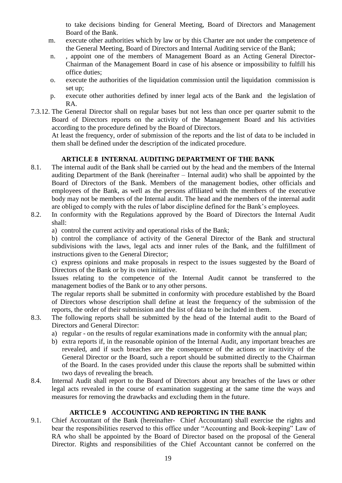to take decisions binding for General Meeting, Board of Directors and Management Board of the Bank.

- m. execute other authorities which by law or by this Charter are not under the competence of the General Meeting, Board of Directors and Internal Auditing service of the Bank;
- n. , appoint one of the members of Management Board as an Acting General Director-Chairman of the Management Board in case of his absence or impossibility to fulfill his office duties;
- o. execute the authorities of the liquidation commission until the liquidation commission is set up;
- p. execute other authorities defined by inner legal acts of the Bank and the legislation of RA.
- 7.3.12. The General Director shall on regular bases but not less than once per quarter submit to the Board of Directors reports on the activity of the Management Board and his activities according to the procedure defined by the Board of Directors.

At least the frequency, order of submission of the reports and the list of data to be included in them shall be defined under the description of the indicated procedure.

## **ARTICLE 8 INTERNAL AUDITING DEPARTMENT OF THE BANK**

- 8.1. The internal audit of the Bank shall be carried out by the head and the members of the Internal auditing Department of the Bank (hereinafter – Internal audit) who shall be appointed by the Board of Directors of the Bank. Members of the management bodies, other officials and employees of the Bank, as well as the persons affiliated with the members of the executive body may not be members of the Internal audit. The head and the members of the internal audit are obliged to comply with the rules of labor discipline defined for the Bank's employees.
- 8.2. In conformity with the Regulations approved by the Board of Directors the Internal Audit shall:
	- a) control the current activity and operational risks of the Bank;

b) control the compliance of activity of the General Director of the Bank and structural subdivisions with the laws, legal acts and inner rules of the Bank, and the fulfillment of instructions given to the General Director;

c) express opinions and make proposals in respect to the issues suggested by the Board of Directors of the Bank or by its own initiative.

Issues relating to the competence of the Internal Audit cannot be transferred to the management bodies of the Bank or to any other persons.

The regular reports shall be submitted in conformity with procedure established by the Board of Directors whose description shall define at least the frequency of the submission of the reports, the order of their submission and the list of data to be included in them.

- 8.3. The following reports shall be submitted by the head of the Internal audit to the Board of Directors and General Director:
	- a) regular on the results of regular examinations made in conformity with the annual plan;
	- b) extra reports if, in the reasonable opinion of the Internal Audit, any important breaches are revealed, and if such breaches are the consequence of the actions or inactivity of the General Director or the Board, such a report should be submitted directly to the Chairman of the Board. In the cases provided under this clause the reports shall be submitted within two days of revealing the breach.
- 8.4. Internal Audit shall report to the Board of Directors about any breaches of the laws or other legal acts revealed in the course of examination suggesting at the same time the ways and measures for removing the drawbacks and excluding them in the future.

# **ARTICLE 9 ACCOUNTING AND REPORTING IN THE BANK**

9.1. Chief Accountant of the Bank (hereinafter- Chief Accountant) shall exercise the rights and bear the responsibilities reserved to this office under "Accounting and Book-keeping" Law of RA who shall be appointed by the Board of Director based on the proposal of the General Director. Rights and responsibilities of the Chief Accountant cannot be conferred on the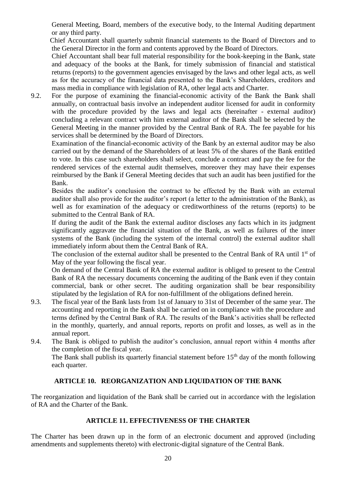General Meeting, Board, members of the executive body, to the Internal Auditing department or any third party.

 Chief Accountant shall quarterly submit financial statements to the Board of Directors and to the General Director in the form and contents approved by the Board of Directors.

 Chief Accountant shall bear full material responsibility for the book-keeping in the Bank, state and adequacy of the books at the Bank, for timely submission of financial and statistical returns (reports) to the government agencies envisaged by the laws and other legal acts, as well as for the accuracy of the financial data presented to the Bank's Shareholders, creditors and mass media in compliance with legislation of RA, other legal acts and Charter.

9.2. For the purpose of examining the financial-economic activity of the Bank the Bank shall annually, on contractual basis involve an independent auditor licensed for audit in conformity with the procedure provided by the laws and legal acts (hereinafter - external auditor) concluding a relevant contract with him external auditor of the Bank shall be selected by the General Meeting in the manner provided by the Central Bank of RA. The fee payable for his services shall be determined by the Board of Directors.

Examination of the financial-economic activity of the Bank by an external auditor may be also carried out by the demand of the Shareholders of at least 5% of the shares of the Bank entitled to vote. In this case such shareholders shall select, conclude a contract and pay the fee for the rendered services of the external audit themselves, moreover they may have their expenses reimbursed by the Bank if General Meeting decides that such an audit has been justified for the Bank.

Besides the auditor's conclusion the contract to be effected by the Bank with an external auditor shall also provide for the auditor's report (a letter to the administration of the Bank), as well as for examination of the adequacy or creditworthiness of the returns (reports) to be submitted to the Central Bank of RA.

If during the audit of the Bank the external auditor discloses any facts which in its judgment significantly aggravate the financial situation of the Bank, as well as failures of the inner systems of the Bank (including the system of the internal control) the external auditor shall immediately inform about them the Central Bank of RA.

The conclusion of the external auditor shall be presented to the Central Bank of RA until 1<sup>st</sup> of May of the year following the fiscal year.

On demand of the Central Bank of RA the external auditor is obliged to present to the Central Bank of RA the necessary documents concerning the auditing of the Bank even if they contain commercial, bank or other secret. The auditing organization shall be bear responsibility stipulated by the legislation of RA for non-fulfillment of the obligations defined herein.

- 9.3. The fiscal year of the Bank lasts from 1st of January to 31st of December of the same year. The accounting and reporting in the Bank shall be carried on in compliance with the procedure and terms defined by the Central Bank of RA. The results of the Bank's activities shall be reflected in the monthly, quarterly, and annual reports, reports on profit and losses, as well as in the annual report.
- 9.4. The Bank is obliged to publish the auditor's conclusion, annual report within 4 months after the completion of the fiscal year.

The Bank shall publish its quarterly financial statement before  $15<sup>th</sup>$  day of the month following each quarter.

### **ARTICLE 10. REORGANIZATION AND LIQUIDATION OF THE BANK**

The reorganization and liquidation of the Bank shall be carried out in accordance with the legislation of RA and the Charter of the Bank.

#### **ARTICLE 11. EFFECTIVENESS OF THE CHARTER**

The Charter has been drawn up in the form of an electronic document and approved (including amendments and supplements thereto) with electronic-digital signature of the Central Bank.